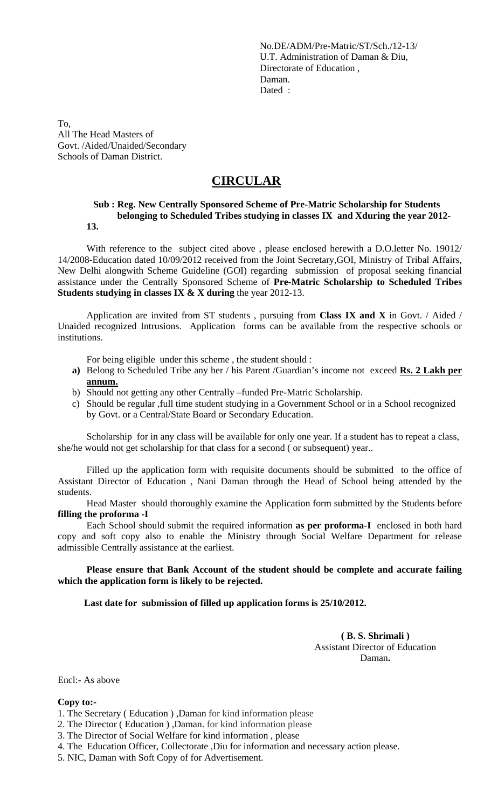No.DE/ADM/Pre-Matric/ST/Sch./12-13/ U.T. Administration of Daman & Diu, Directorate of Education , Daman. Dated :

To, All The Head Masters of Govt. /Aided/Unaided/Secondary Schools of Daman District.

## **CIRCULAR**

#### **Sub : Reg. New Centrally Sponsored Scheme of Pre-Matric Scholarship for Students belonging to Scheduled Tribes studying in classes IX and Xduring the year 2012- 13.**

With reference to the subject cited above , please enclosed herewith a D.O.letter No. 19012/ 14/2008-Education dated 10/09/2012 received from the Joint Secretary,GOI, Ministry of Tribal Affairs, New Delhi alongwith Scheme Guideline (GOI) regarding submission of proposal seeking financial assistance under the Centrally Sponsored Scheme of **Pre-Matric Scholarship to Scheduled Tribes Students studying in classes IX & X during** the year 2012-13.

Application are invited from ST students , pursuing from **Class IX and X** in Govt. / Aided / Unaided recognized Intrusions. Application forms can be available from the respective schools or institutions.

For being eligible under this scheme , the student should :

- **a)** Belong to Scheduled Tribe any her / his Parent /Guardian's income not exceed **Rs. 2 Lakh per annum.**
- b) Should not getting any other Centrally –funded Pre-Matric Scholarship.
- c) Should be regular ,full time student studying in a Government School or in a School recognized by Govt. or a Central/State Board or Secondary Education.

Scholarship for in any class will be available for only one year. If a student has to repeat a class, she/he would not get scholarship for that class for a second ( or subsequent) year..

Filled up the application form with requisite documents should be submitted to the office of Assistant Director of Education , Nani Daman through the Head of School being attended by the students.

Head Master should thoroughly examine the Application form submitted by the Students before **filling the proforma -I**

Each School should submit the required information **as per proforma-I** enclosed in both hard copy and soft copy also to enable the Ministry through Social Welfare Department for release admissible Centrally assistance at the earliest.

**Please ensure that Bank Account of the student should be complete and accurate failing which the application form is likely to be rejected.**

**Last date for submission of filled up application forms is 25/10/2012.**

**( B. S. Shrimali )** Assistant Director of Education Daman**.**

Encl:- As above

#### **Copy to:-**

- 1. The Secretary ( Education ) ,Daman for kind information please
- 2. The Director ( Education ) ,Daman. for kind information please
- 3. The Director of Social Welfare for kind information , please
- 4. The Education Officer, Collectorate ,Diu for information and necessary action please.
- 5. NIC, Daman with Soft Copy of for Advertisement.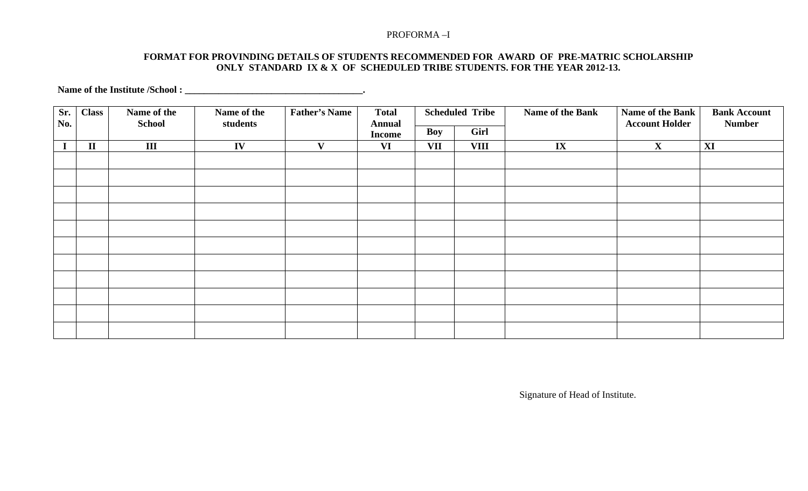#### PROFORMA –I

#### **FORMAT FOR PROVINDING DETAILS OF STUDENTS RECOMMENDED FOR AWARD OF PRE-MATRIC SCHOLARSHIP ONLY STANDARD IX & X OF SCHEDULED TRIBE STUDENTS. FOR THE YEAR 2012-13.**

**Name of the Institute /School : \_\_\_\_\_\_\_\_\_\_\_\_\_\_\_\_\_\_\_\_\_\_\_\_\_\_\_\_\_\_\_\_\_\_\_\_\_.**

| Sr.<br>No. | <b>Class</b> | Name of the<br><b>School</b> | Name of the<br>students | <b>Father's Name</b> | <b>Total</b><br><b>Annual</b><br><b>Income</b> | <b>Scheduled Tribe</b> |             | Name of the Bank | Name of the Bank<br><b>Account Holder</b> | <b>Bank Account</b><br><b>Number</b> |
|------------|--------------|------------------------------|-------------------------|----------------------|------------------------------------------------|------------------------|-------------|------------------|-------------------------------------------|--------------------------------------|
|            |              |                              |                         |                      |                                                | Boy                    | Girl        |                  |                                           |                                      |
|            | $\mathbf{I}$ | $\mathbf{III}$               | IV                      | $\mathbf{V}$         | <b>VI</b>                                      | VII                    | <b>VIII</b> | $\mathbf{IX}$    | $\mathbf{X}$                              | XI                                   |
|            |              |                              |                         |                      |                                                |                        |             |                  |                                           |                                      |
|            |              |                              |                         |                      |                                                |                        |             |                  |                                           |                                      |
|            |              |                              |                         |                      |                                                |                        |             |                  |                                           |                                      |
|            |              |                              |                         |                      |                                                |                        |             |                  |                                           |                                      |
|            |              |                              |                         |                      |                                                |                        |             |                  |                                           |                                      |
|            |              |                              |                         |                      |                                                |                        |             |                  |                                           |                                      |
|            |              |                              |                         |                      |                                                |                        |             |                  |                                           |                                      |
|            |              |                              |                         |                      |                                                |                        |             |                  |                                           |                                      |
|            |              |                              |                         |                      |                                                |                        |             |                  |                                           |                                      |
|            |              |                              |                         |                      |                                                |                        |             |                  |                                           |                                      |
|            |              |                              |                         |                      |                                                |                        |             |                  |                                           |                                      |

Signature of Head of Institute.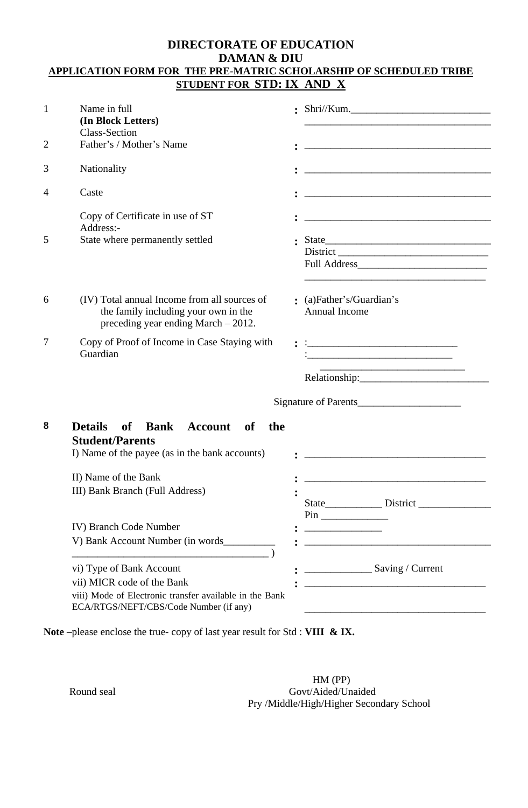### **DIRECTORATE OF EDUCATION DAMAN & DIU APPLICATION FORM FOR THE PRE-MATRIC SCHOLARSHIP OF SCHEDULED TRIBE STUDENT FOR STD: IX AND X**

| $\mathbf{1}$ | Name in full<br>(In Block Letters)<br><b>Class-Section</b>                                                                    |                                                                                                                       |  |  |
|--------------|-------------------------------------------------------------------------------------------------------------------------------|-----------------------------------------------------------------------------------------------------------------------|--|--|
| 2            | Father's / Mother's Name                                                                                                      |                                                                                                                       |  |  |
| 3            | Nationality                                                                                                                   |                                                                                                                       |  |  |
| 4            | Caste                                                                                                                         |                                                                                                                       |  |  |
|              | Copy of Certificate in use of ST<br>Address:-                                                                                 |                                                                                                                       |  |  |
| 5            | State where permanently settled                                                                                               |                                                                                                                       |  |  |
| 6            | (IV) Total annual Income from all sources of<br>the family including your own in the<br>preceding year ending March $-2012$ . | : (a)Father's/Guardian's<br><b>Annual Income</b>                                                                      |  |  |
| 7            | Copy of Proof of Income in Case Staying with<br>Guardian                                                                      | the control of the control of the control of the control of the control of the control of                             |  |  |
|              |                                                                                                                               | Signature of Parents                                                                                                  |  |  |
| 8            | <b>Details</b><br>of Bank<br>Account of<br>the<br><b>Student/Parents</b><br>I) Name of the payee (as in the bank accounts)    | <u> 1989 - Johann Barn, mars and de Branch Barn, mars and de Branch Barn, mars and de Branch Barn, mars and de Br</u> |  |  |
|              |                                                                                                                               |                                                                                                                       |  |  |
|              | II) Name of the Bank<br>III) Bank Branch (Full Address)                                                                       |                                                                                                                       |  |  |
|              |                                                                                                                               |                                                                                                                       |  |  |
|              | IV) Branch Code Number                                                                                                        |                                                                                                                       |  |  |
|              |                                                                                                                               |                                                                                                                       |  |  |
|              | vi) Type of Bank Account                                                                                                      | Saving / Current                                                                                                      |  |  |
|              | vii) MICR code of the Bank                                                                                                    | <u> 1980 - Jan James James Barbara, martxa eta bat zen arteko hamarkada (h. 1980).</u>                                |  |  |
|              | viii) Mode of Electronic transfer available in the Bank<br>ECA/RTGS/NEFT/CBS/Code Number (if any)                             |                                                                                                                       |  |  |

**Note** –please enclose the true- copy of last year result for Std : **VIII & IX.**

 HM (PP) Round seal Govt/Aided/Unaided Pry /Middle/High/Higher Secondary School